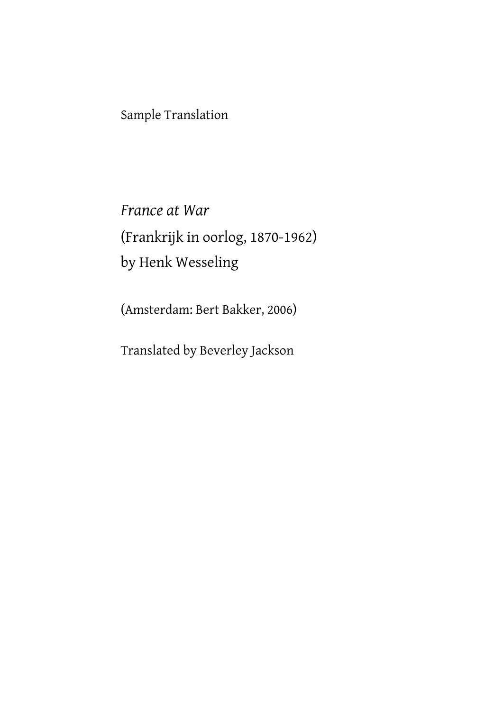Sample Translation

*France at War* (Frankrijk in oorlog, 1870-1962) by Henk Wesseling

(Amsterdam: Bert Bakker, 2006)

Translated by Beverley Jackson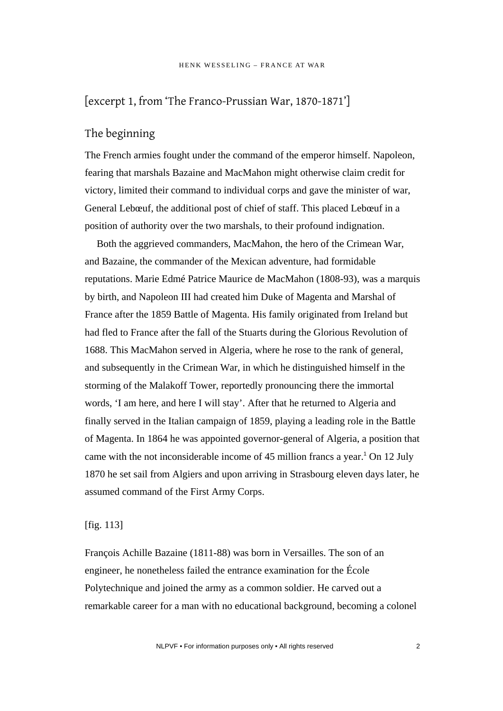# [excerpt 1, from 'The Franco-Prussian War, 1870-1871']

### The beginning

The French armies fought under the command of the emperor himself. Napoleon, fearing that marshals Bazaine and MacMahon might otherwise claim credit for victory, limited their command to individual corps and gave the minister of war, General Lebœuf, the additional post of chief of staff. This placed Lebœuf in a position of authority over the two marshals, to their profound indignation.

Both the aggrieved commanders, MacMahon, the hero of the Crimean War, and Bazaine, the commander of the Mexican adventure, had formidable reputations. Marie Edmé Patrice Maurice de MacMahon (1808-93), was a marquis by birth, and Napoleon III had created him Duke of Magenta and Marshal of France after the 1859 Battle of Magenta. His family originated from Ireland but had fled to France after the fall of the Stuarts during the Glorious Revolution of 1688. This MacMahon served in Algeria, where he rose to the rank of general, and subsequently in the Crimean War, in which he distinguished himself in the storming of the Malakoff Tower, reportedly pronouncing there the immortal words, 'I am here, and here I will stay'. After that he returned to Algeria and finally served in the Italian campaign of 1859, playing a leading role in the Battle of Magenta. In 1864 he was appointed governor-general of Algeria, a position that came with the not inconsiderable income of  $45$  million francs a year.<sup>1</sup> On 12 July 1870 he set sail from Algiers and upon arriving in Strasbourg eleven days later, he assumed command of the First Army Corps.

#### [fig. 113]

François Achille Bazaine (1811-88) was born in Versailles. The son of an engineer, he nonetheless failed the entrance examination for the École Polytechnique and joined the army as a common soldier. He carved out a remarkable career for a man with no educational background, becoming a colonel

NLPVF • For information purposes only • All rights reserved 2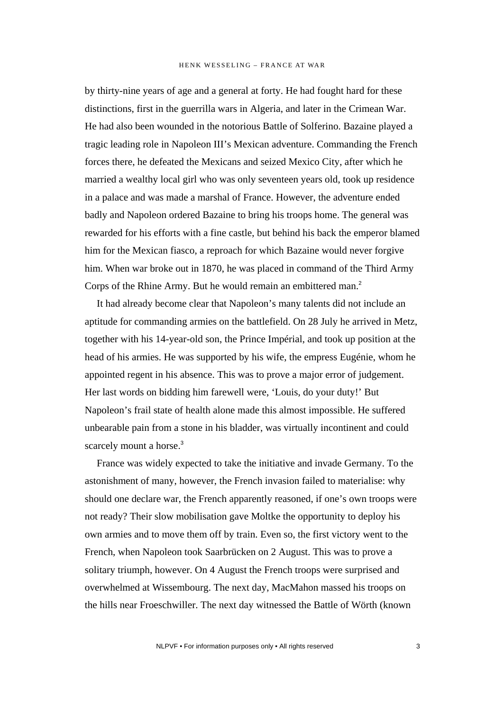by thirty-nine years of age and a general at forty. He had fought hard for these distinctions, first in the guerrilla wars in Algeria, and later in the Crimean War. He had also been wounded in the notorious Battle of Solferino. Bazaine played a tragic leading role in Napoleon III's Mexican adventure. Commanding the French forces there, he defeated the Mexicans and seized Mexico City, after which he married a wealthy local girl who was only seventeen years old, took up residence in a palace and was made a marshal of France. However, the adventure ended badly and Napoleon ordered Bazaine to bring his troops home. The general was rewarded for his efforts with a fine castle, but behind his back the emperor blamed him for the Mexican fiasco, a reproach for which Bazaine would never forgive him. When war broke out in 1870, he was placed in command of the Third Army Corps of the Rhine Army. But he would remain an embittered man.<sup>2</sup>

It had already become clear that Napoleon's many talents did not include an aptitude for commanding armies on the battlefield. On 28 July he arrived in Metz, together with his 14-year-old son, the Prince Impérial, and took up position at the head of his armies. He was supported by his wife, the empress Eugénie, whom he appointed regent in his absence. This was to prove a major error of judgement. Her last words on bidding him farewell were, 'Louis, do your duty!' But Napoleon's frail state of health alone made this almost impossible. He suffered unbearable pain from a stone in his bladder, was virtually incontinent and could scarcely mount a horse.<sup>3</sup>

France was widely expected to take the initiative and invade Germany. To the astonishment of many, however, the French invasion failed to materialise: why should one declare war, the French apparently reasoned, if one's own troops were not ready? Their slow mobilisation gave Moltke the opportunity to deploy his own armies and to move them off by train. Even so, the first victory went to the French, when Napoleon took Saarbrücken on 2 August. This was to prove a solitary triumph, however. On 4 August the French troops were surprised and overwhelmed at Wissembourg. The next day, MacMahon massed his troops on the hills near Froeschwiller. The next day witnessed the Battle of Wörth (known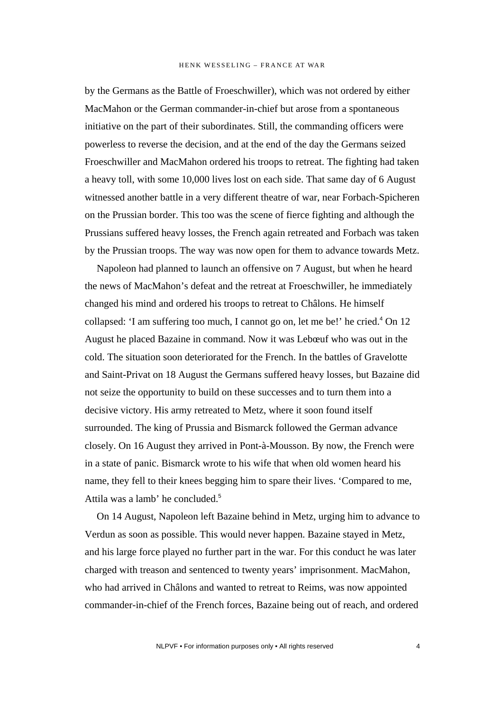by the Germans as the Battle of Froeschwiller), which was not ordered by either MacMahon or the German commander-in-chief but arose from a spontaneous initiative on the part of their subordinates. Still, the commanding officers were powerless to reverse the decision, and at the end of the day the Germans seized Froeschwiller and MacMahon ordered his troops to retreat. The fighting had taken a heavy toll, with some 10,000 lives lost on each side. That same day of 6 August witnessed another battle in a very different theatre of war, near Forbach-Spicheren on the Prussian border. This too was the scene of fierce fighting and although the Prussians suffered heavy losses, the French again retreated and Forbach was taken by the Prussian troops. The way was now open for them to advance towards Metz.

Napoleon had planned to launch an offensive on 7 August, but when he heard the news of MacMahon's defeat and the retreat at Froeschwiller, he immediately changed his mind and ordered his troops to retreat to Châlons. He himself collapsed: 'I am suffering too much, I cannot go on, let me be!' he cried.<sup>4</sup> On 12 August he placed Bazaine in command. Now it was Lebœuf who was out in the cold. The situation soon deteriorated for the French. In the battles of Gravelotte and Saint-Privat on 18 August the Germans suffered heavy losses, but Bazaine did not seize the opportunity to build on these successes and to turn them into a decisive victory. His army retreated to Metz, where it soon found itself surrounded. The king of Prussia and Bismarck followed the German advance closely. On 16 August they arrived in Pont-à-Mousson. By now, the French were in a state of panic. Bismarck wrote to his wife that when old women heard his name, they fell to their knees begging him to spare their lives. 'Compared to me, Attila was a lamb' he concluded.<sup>5</sup>

On 14 August, Napoleon left Bazaine behind in Metz, urging him to advance to Verdun as soon as possible. This would never happen. Bazaine stayed in Metz, and his large force played no further part in the war. For this conduct he was later charged with treason and sentenced to twenty years' imprisonment. MacMahon, who had arrived in Châlons and wanted to retreat to Reims, was now appointed commander-in-chief of the French forces, Bazaine being out of reach, and ordered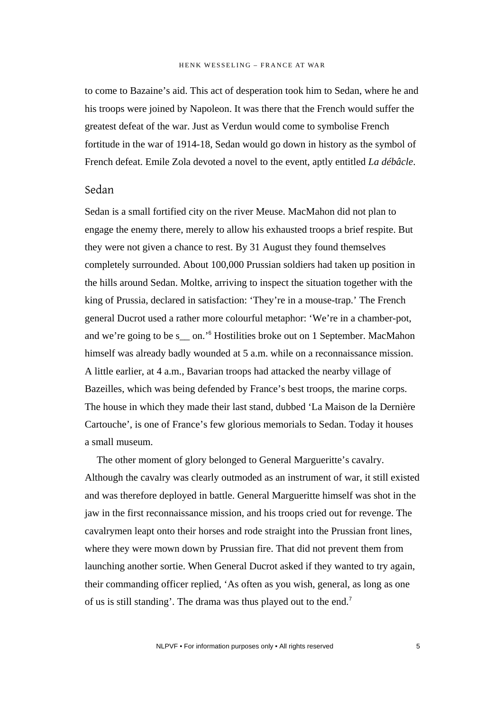to come to Bazaine's aid. This act of desperation took him to Sedan, where he and his troops were joined by Napoleon. It was there that the French would suffer the greatest defeat of the war. Just as Verdun would come to symbolise French fortitude in the war of 1914-18, Sedan would go down in history as the symbol of French defeat. Emile Zola devoted a novel to the event, aptly entitled *La débâcle*.

### Sedan

Sedan is a small fortified city on the river Meuse. MacMahon did not plan to engage the enemy there, merely to allow his exhausted troops a brief respite. But they were not given a chance to rest. By 31 August they found themselves completely surrounded. About 100,000 Prussian soldiers had taken up position in the hills around Sedan. Moltke, arriving to inspect the situation together with the king of Prussia, declared in satisfaction: 'They're in a mouse-trap.' The French general Ducrot used a rather more colourful metaphor: 'We're in a chamber-pot, and we're going to be s<sub>\_\_</sub> on.'<sup>6</sup> Hostilities broke out on 1 September. MacMahon himself was already badly wounded at 5 a.m. while on a reconnaissance mission. A little earlier, at 4 a.m., Bavarian troops had attacked the nearby village of Bazeilles, which was being defended by France's best troops, the marine corps. The house in which they made their last stand, dubbed 'La Maison de la Dernière Cartouche', is one of France's few glorious memorials to Sedan. Today it houses a small museum.

The other moment of glory belonged to General Margueritte's cavalry. Although the cavalry was clearly outmoded as an instrument of war, it still existed and was therefore deployed in battle. General Margueritte himself was shot in the jaw in the first reconnaissance mission, and his troops cried out for revenge. The cavalrymen leapt onto their horses and rode straight into the Prussian front lines, where they were mown down by Prussian fire. That did not prevent them from launching another sortie. When General Ducrot asked if they wanted to try again, their commanding officer replied, 'As often as you wish, general, as long as one of us is still standing'. The drama was thus played out to the end.7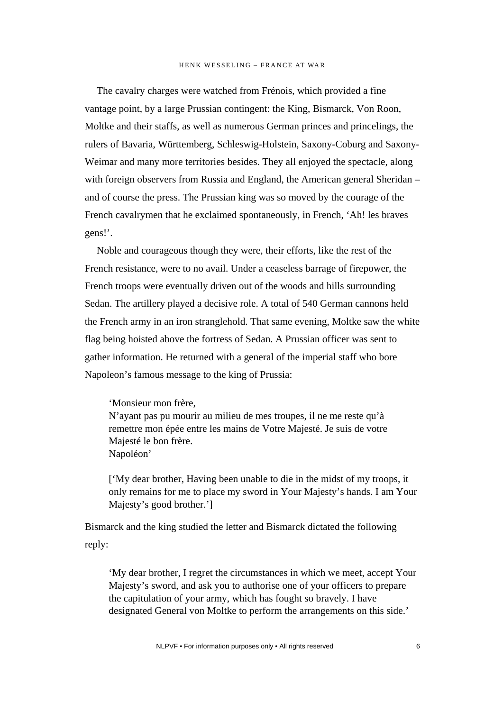The cavalry charges were watched from Frénois, which provided a fine vantage point, by a large Prussian contingent: the King, Bismarck, Von Roon, Moltke and their staffs, as well as numerous German princes and princelings, the rulers of Bavaria, Württemberg, Schleswig-Holstein, Saxony-Coburg and Saxony-Weimar and many more territories besides. They all enjoyed the spectacle, along with foreign observers from Russia and England, the American general Sheridan – and of course the press. The Prussian king was so moved by the courage of the French cavalrymen that he exclaimed spontaneously, in French, 'Ah! les braves gens!'.

Noble and courageous though they were, their efforts, like the rest of the French resistance, were to no avail. Under a ceaseless barrage of firepower, the French troops were eventually driven out of the woods and hills surrounding Sedan. The artillery played a decisive role. A total of 540 German cannons held the French army in an iron stranglehold. That same evening, Moltke saw the white flag being hoisted above the fortress of Sedan. A Prussian officer was sent to gather information. He returned with a general of the imperial staff who bore Napoleon's famous message to the king of Prussia:

'Monsieur mon frère, N'ayant pas pu mourir au milieu de mes troupes, il ne me reste qu'à remettre mon épée entre les mains de Votre Majesté. Je suis de votre Majesté le bon frère. Napoléon'

['My dear brother, Having been unable to die in the midst of my troops, it only remains for me to place my sword in Your Majesty's hands. I am Your Majesty's good brother.']

Bismarck and the king studied the letter and Bismarck dictated the following reply:

'My dear brother, I regret the circumstances in which we meet, accept Your Majesty's sword, and ask you to authorise one of your officers to prepare the capitulation of your army, which has fought so bravely. I have designated General von Moltke to perform the arrangements on this side.'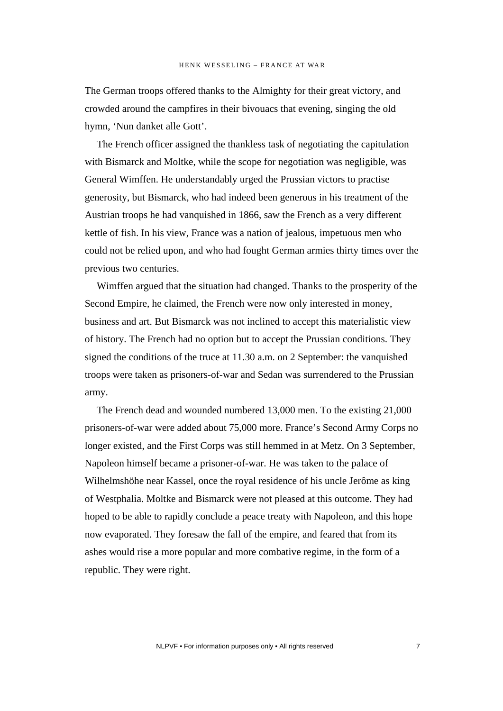The German troops offered thanks to the Almighty for their great victory, and crowded around the campfires in their bivouacs that evening, singing the old hymn, 'Nun danket alle Gott'.

The French officer assigned the thankless task of negotiating the capitulation with Bismarck and Moltke, while the scope for negotiation was negligible, was General Wimffen. He understandably urged the Prussian victors to practise generosity, but Bismarck, who had indeed been generous in his treatment of the Austrian troops he had vanquished in 1866, saw the French as a very different kettle of fish. In his view, France was a nation of jealous, impetuous men who could not be relied upon, and who had fought German armies thirty times over the previous two centuries.

Wimffen argued that the situation had changed. Thanks to the prosperity of the Second Empire, he claimed, the French were now only interested in money, business and art. But Bismarck was not inclined to accept this materialistic view of history. The French had no option but to accept the Prussian conditions. They signed the conditions of the truce at 11.30 a.m. on 2 September: the vanquished troops were taken as prisoners-of-war and Sedan was surrendered to the Prussian army.

The French dead and wounded numbered 13,000 men. To the existing 21,000 prisoners-of-war were added about 75,000 more. France's Second Army Corps no longer existed, and the First Corps was still hemmed in at Metz. On 3 September, Napoleon himself became a prisoner-of-war. He was taken to the palace of Wilhelmshöhe near Kassel, once the royal residence of his uncle Jerôme as king of Westphalia. Moltke and Bismarck were not pleased at this outcome. They had hoped to be able to rapidly conclude a peace treaty with Napoleon, and this hope now evaporated. They foresaw the fall of the empire, and feared that from its ashes would rise a more popular and more combative regime, in the form of a republic. They were right.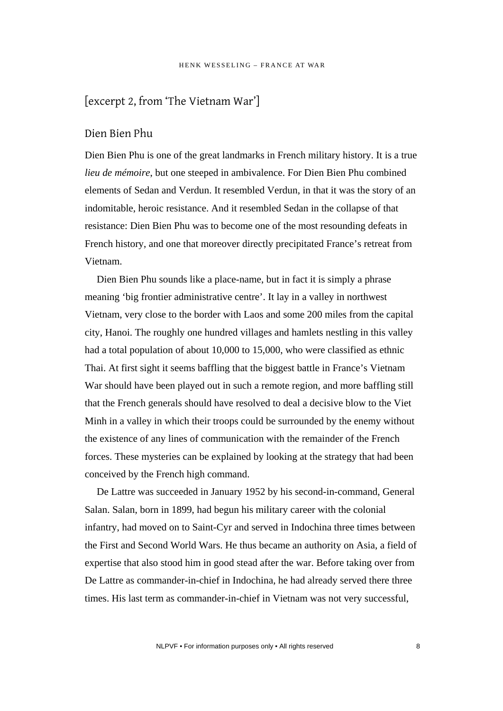# [excerpt 2, from 'The Vietnam War']

#### Dien Bien Phu

Dien Bien Phu is one of the great landmarks in French military history. It is a true *lieu de mémoire*, but one steeped in ambivalence. For Dien Bien Phu combined elements of Sedan and Verdun. It resembled Verdun, in that it was the story of an indomitable, heroic resistance. And it resembled Sedan in the collapse of that resistance: Dien Bien Phu was to become one of the most resounding defeats in French history, and one that moreover directly precipitated France's retreat from Vietnam.

Dien Bien Phu sounds like a place-name, but in fact it is simply a phrase meaning 'big frontier administrative centre'. It lay in a valley in northwest Vietnam, very close to the border with Laos and some 200 miles from the capital city, Hanoi. The roughly one hundred villages and hamlets nestling in this valley had a total population of about 10,000 to 15,000, who were classified as ethnic Thai. At first sight it seems baffling that the biggest battle in France's Vietnam War should have been played out in such a remote region, and more baffling still that the French generals should have resolved to deal a decisive blow to the Viet Minh in a valley in which their troops could be surrounded by the enemy without the existence of any lines of communication with the remainder of the French forces. These mysteries can be explained by looking at the strategy that had been conceived by the French high command.

De Lattre was succeeded in January 1952 by his second-in-command, General Salan. Salan, born in 1899, had begun his military career with the colonial infantry, had moved on to Saint-Cyr and served in Indochina three times between the First and Second World Wars. He thus became an authority on Asia, a field of expertise that also stood him in good stead after the war. Before taking over from De Lattre as commander-in-chief in Indochina, he had already served there three times. His last term as commander-in-chief in Vietnam was not very successful,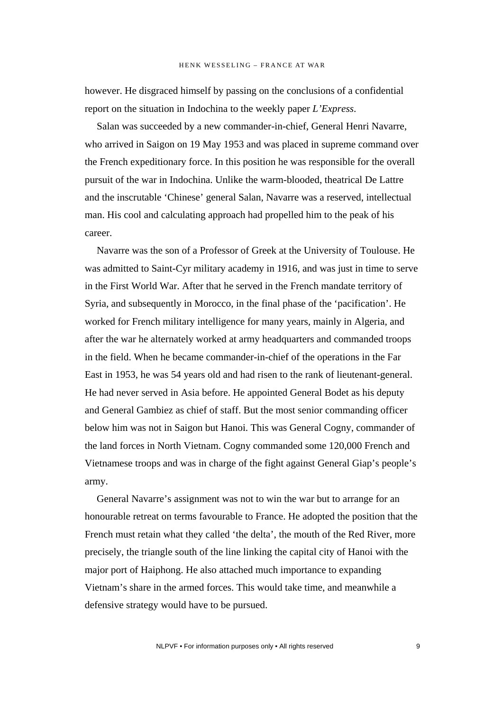however. He disgraced himself by passing on the conclusions of a confidential report on the situation in Indochina to the weekly paper *L'Express*.

Salan was succeeded by a new commander-in-chief, General Henri Navarre, who arrived in Saigon on 19 May 1953 and was placed in supreme command over the French expeditionary force. In this position he was responsible for the overall pursuit of the war in Indochina. Unlike the warm-blooded, theatrical De Lattre and the inscrutable 'Chinese' general Salan, Navarre was a reserved, intellectual man. His cool and calculating approach had propelled him to the peak of his career.

Navarre was the son of a Professor of Greek at the University of Toulouse. He was admitted to Saint-Cyr military academy in 1916, and was just in time to serve in the First World War. After that he served in the French mandate territory of Syria, and subsequently in Morocco, in the final phase of the 'pacification'. He worked for French military intelligence for many years, mainly in Algeria, and after the war he alternately worked at army headquarters and commanded troops in the field. When he became commander-in-chief of the operations in the Far East in 1953, he was 54 years old and had risen to the rank of lieutenant-general. He had never served in Asia before. He appointed General Bodet as his deputy and General Gambiez as chief of staff. But the most senior commanding officer below him was not in Saigon but Hanoi. This was General Cogny, commander of the land forces in North Vietnam. Cogny commanded some 120,000 French and Vietnamese troops and was in charge of the fight against General Giap's people's army.

General Navarre's assignment was not to win the war but to arrange for an honourable retreat on terms favourable to France. He adopted the position that the French must retain what they called 'the delta', the mouth of the Red River, more precisely, the triangle south of the line linking the capital city of Hanoi with the major port of Haiphong. He also attached much importance to expanding Vietnam's share in the armed forces. This would take time, and meanwhile a defensive strategy would have to be pursued.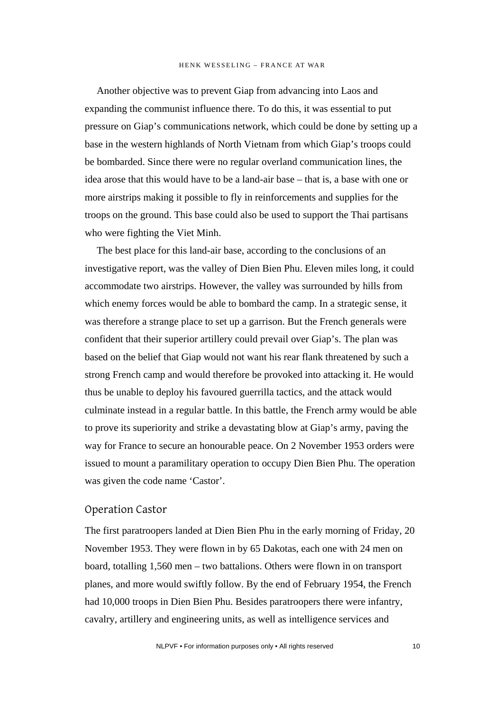Another objective was to prevent Giap from advancing into Laos and expanding the communist influence there. To do this, it was essential to put pressure on Giap's communications network, which could be done by setting up a base in the western highlands of North Vietnam from which Giap's troops could be bombarded. Since there were no regular overland communication lines, the idea arose that this would have to be a land-air base – that is, a base with one or more airstrips making it possible to fly in reinforcements and supplies for the troops on the ground. This base could also be used to support the Thai partisans who were fighting the Viet Minh.

The best place for this land-air base, according to the conclusions of an investigative report, was the valley of Dien Bien Phu. Eleven miles long, it could accommodate two airstrips. However, the valley was surrounded by hills from which enemy forces would be able to bombard the camp. In a strategic sense, it was therefore a strange place to set up a garrison. But the French generals were confident that their superior artillery could prevail over Giap's. The plan was based on the belief that Giap would not want his rear flank threatened by such a strong French camp and would therefore be provoked into attacking it. He would thus be unable to deploy his favoured guerrilla tactics, and the attack would culminate instead in a regular battle. In this battle, the French army would be able to prove its superiority and strike a devastating blow at Giap's army, paving the way for France to secure an honourable peace. On 2 November 1953 orders were issued to mount a paramilitary operation to occupy Dien Bien Phu. The operation was given the code name 'Castor'.

#### Operation Castor

The first paratroopers landed at Dien Bien Phu in the early morning of Friday, 20 November 1953. They were flown in by 65 Dakotas, each one with 24 men on board, totalling 1,560 men – two battalions. Others were flown in on transport planes, and more would swiftly follow. By the end of February 1954, the French had 10,000 troops in Dien Bien Phu. Besides paratroopers there were infantry, cavalry, artillery and engineering units, as well as intelligence services and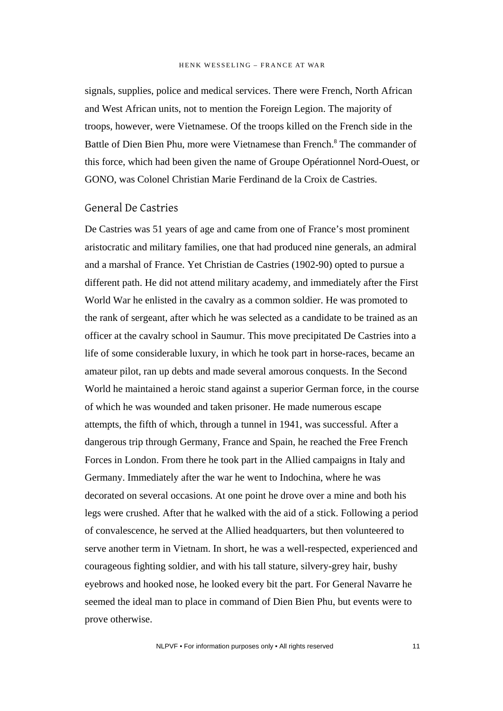signals, supplies, police and medical services. There were French, North African and West African units, not to mention the Foreign Legion. The majority of troops, however, were Vietnamese. Of the troops killed on the French side in the Battle of Dien Bien Phu, more were Vietnamese than French.<sup>8</sup> The commander of this force, which had been given the name of Groupe Opérationnel Nord-Ouest, or GONO, was Colonel Christian Marie Ferdinand de la Croix de Castries.

### General De Castries

De Castries was 51 years of age and came from one of France's most prominent aristocratic and military families, one that had produced nine generals, an admiral and a marshal of France. Yet Christian de Castries (1902-90) opted to pursue a different path. He did not attend military academy, and immediately after the First World War he enlisted in the cavalry as a common soldier. He was promoted to the rank of sergeant, after which he was selected as a candidate to be trained as an officer at the cavalry school in Saumur. This move precipitated De Castries into a life of some considerable luxury, in which he took part in horse-races, became an amateur pilot, ran up debts and made several amorous conquests. In the Second World he maintained a heroic stand against a superior German force, in the course of which he was wounded and taken prisoner. He made numerous escape attempts, the fifth of which, through a tunnel in 1941, was successful. After a dangerous trip through Germany, France and Spain, he reached the Free French Forces in London. From there he took part in the Allied campaigns in Italy and Germany. Immediately after the war he went to Indochina, where he was decorated on several occasions. At one point he drove over a mine and both his legs were crushed. After that he walked with the aid of a stick. Following a period of convalescence, he served at the Allied headquarters, but then volunteered to serve another term in Vietnam. In short, he was a well-respected, experienced and courageous fighting soldier, and with his tall stature, silvery-grey hair, bushy eyebrows and hooked nose, he looked every bit the part. For General Navarre he seemed the ideal man to place in command of Dien Bien Phu, but events were to prove otherwise.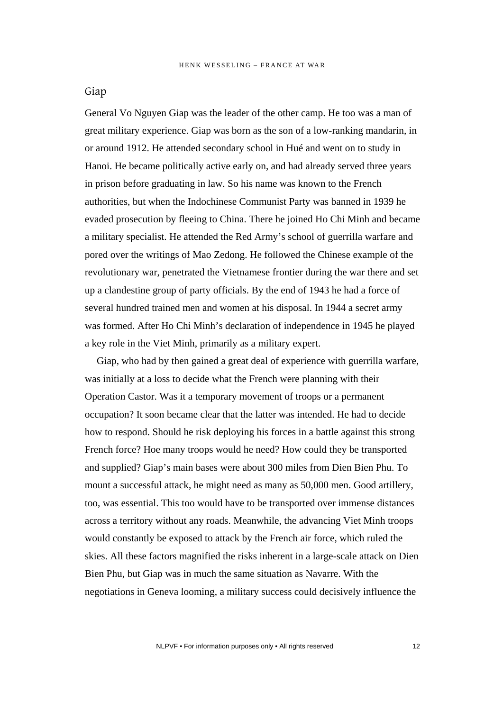#### Giap

General Vo Nguyen Giap was the leader of the other camp. He too was a man of great military experience. Giap was born as the son of a low-ranking mandarin, in or around 1912. He attended secondary school in Hué and went on to study in Hanoi. He became politically active early on, and had already served three years in prison before graduating in law. So his name was known to the French authorities, but when the Indochinese Communist Party was banned in 1939 he evaded prosecution by fleeing to China. There he joined Ho Chi Minh and became a military specialist. He attended the Red Army's school of guerrilla warfare and pored over the writings of Mao Zedong. He followed the Chinese example of the revolutionary war, penetrated the Vietnamese frontier during the war there and set up a clandestine group of party officials. By the end of 1943 he had a force of several hundred trained men and women at his disposal. In 1944 a secret army was formed. After Ho Chi Minh's declaration of independence in 1945 he played a key role in the Viet Minh, primarily as a military expert.

Giap, who had by then gained a great deal of experience with guerrilla warfare, was initially at a loss to decide what the French were planning with their Operation Castor. Was it a temporary movement of troops or a permanent occupation? It soon became clear that the latter was intended. He had to decide how to respond. Should he risk deploying his forces in a battle against this strong French force? Hoe many troops would he need? How could they be transported and supplied? Giap's main bases were about 300 miles from Dien Bien Phu. To mount a successful attack, he might need as many as 50,000 men. Good artillery, too, was essential. This too would have to be transported over immense distances across a territory without any roads. Meanwhile, the advancing Viet Minh troops would constantly be exposed to attack by the French air force, which ruled the skies. All these factors magnified the risks inherent in a large-scale attack on Dien Bien Phu, but Giap was in much the same situation as Navarre. With the negotiations in Geneva looming, a military success could decisively influence the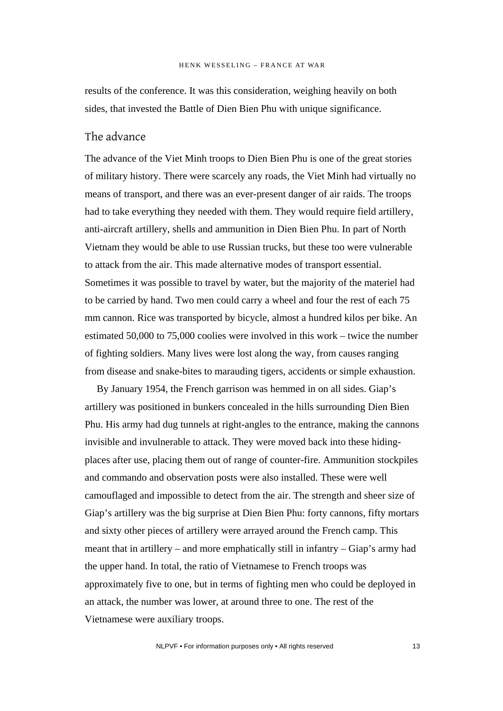results of the conference. It was this consideration, weighing heavily on both sides, that invested the Battle of Dien Bien Phu with unique significance.

## The advance

The advance of the Viet Minh troops to Dien Bien Phu is one of the great stories of military history. There were scarcely any roads, the Viet Minh had virtually no means of transport, and there was an ever-present danger of air raids. The troops had to take everything they needed with them. They would require field artillery, anti-aircraft artillery, shells and ammunition in Dien Bien Phu. In part of North Vietnam they would be able to use Russian trucks, but these too were vulnerable to attack from the air. This made alternative modes of transport essential. Sometimes it was possible to travel by water, but the majority of the materiel had to be carried by hand. Two men could carry a wheel and four the rest of each 75 mm cannon. Rice was transported by bicycle, almost a hundred kilos per bike. An estimated 50,000 to 75,000 coolies were involved in this work – twice the number of fighting soldiers. Many lives were lost along the way, from causes ranging from disease and snake-bites to marauding tigers, accidents or simple exhaustion.

By January 1954, the French garrison was hemmed in on all sides. Giap's artillery was positioned in bunkers concealed in the hills surrounding Dien Bien Phu. His army had dug tunnels at right-angles to the entrance, making the cannons invisible and invulnerable to attack. They were moved back into these hidingplaces after use, placing them out of range of counter-fire. Ammunition stockpiles and commando and observation posts were also installed. These were well camouflaged and impossible to detect from the air. The strength and sheer size of Giap's artillery was the big surprise at Dien Bien Phu: forty cannons, fifty mortars and sixty other pieces of artillery were arrayed around the French camp. This meant that in artillery – and more emphatically still in infantry – Giap's army had the upper hand. In total, the ratio of Vietnamese to French troops was approximately five to one, but in terms of fighting men who could be deployed in an attack, the number was lower, at around three to one. The rest of the Vietnamese were auxiliary troops.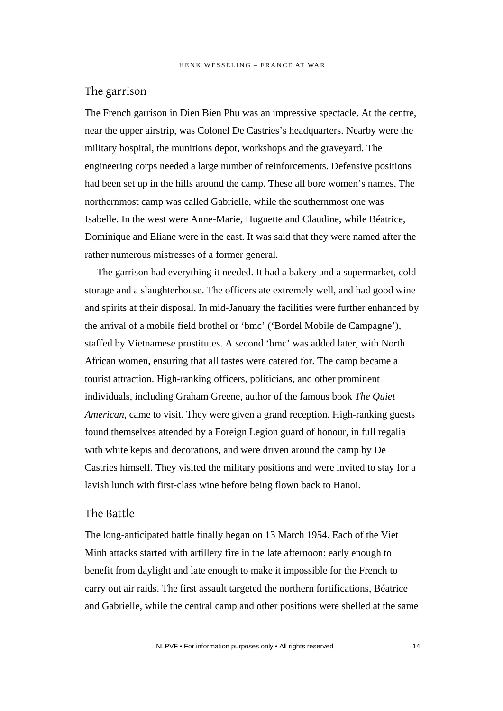## The garrison

The French garrison in Dien Bien Phu was an impressive spectacle. At the centre, near the upper airstrip, was Colonel De Castries's headquarters. Nearby were the military hospital, the munitions depot, workshops and the graveyard. The engineering corps needed a large number of reinforcements. Defensive positions had been set up in the hills around the camp. These all bore women's names. The northernmost camp was called Gabrielle, while the southernmost one was Isabelle. In the west were Anne-Marie, Huguette and Claudine, while Béatrice, Dominique and Eliane were in the east. It was said that they were named after the rather numerous mistresses of a former general.

The garrison had everything it needed. It had a bakery and a supermarket, cold storage and a slaughterhouse. The officers ate extremely well, and had good wine and spirits at their disposal. In mid-January the facilities were further enhanced by the arrival of a mobile field brothel or 'bmc' ('Bordel Mobile de Campagne'), staffed by Vietnamese prostitutes. A second 'bmc' was added later, with North African women, ensuring that all tastes were catered for. The camp became a tourist attraction. High-ranking officers, politicians, and other prominent individuals, including Graham Greene, author of the famous book *The Quiet American*, came to visit. They were given a grand reception. High-ranking guests found themselves attended by a Foreign Legion guard of honour, in full regalia with white kepis and decorations, and were driven around the camp by De Castries himself. They visited the military positions and were invited to stay for a lavish lunch with first-class wine before being flown back to Hanoi.

## The Battle

The long-anticipated battle finally began on 13 March 1954. Each of the Viet Minh attacks started with artillery fire in the late afternoon: early enough to benefit from daylight and late enough to make it impossible for the French to carry out air raids. The first assault targeted the northern fortifications, Béatrice and Gabrielle, while the central camp and other positions were shelled at the same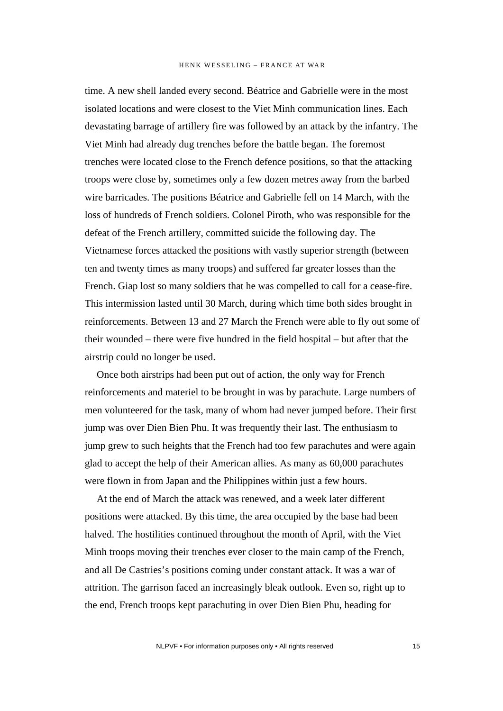time. A new shell landed every second. Béatrice and Gabrielle were in the most isolated locations and were closest to the Viet Minh communication lines. Each devastating barrage of artillery fire was followed by an attack by the infantry. The Viet Minh had already dug trenches before the battle began. The foremost trenches were located close to the French defence positions, so that the attacking troops were close by, sometimes only a few dozen metres away from the barbed wire barricades. The positions Béatrice and Gabrielle fell on 14 March, with the loss of hundreds of French soldiers. Colonel Piroth, who was responsible for the defeat of the French artillery, committed suicide the following day. The Vietnamese forces attacked the positions with vastly superior strength (between ten and twenty times as many troops) and suffered far greater losses than the French. Giap lost so many soldiers that he was compelled to call for a cease-fire. This intermission lasted until 30 March, during which time both sides brought in reinforcements. Between 13 and 27 March the French were able to fly out some of their wounded – there were five hundred in the field hospital – but after that the airstrip could no longer be used.

Once both airstrips had been put out of action, the only way for French reinforcements and materiel to be brought in was by parachute. Large numbers of men volunteered for the task, many of whom had never jumped before. Their first jump was over Dien Bien Phu. It was frequently their last. The enthusiasm to jump grew to such heights that the French had too few parachutes and were again glad to accept the help of their American allies. As many as 60,000 parachutes were flown in from Japan and the Philippines within just a few hours.

At the end of March the attack was renewed, and a week later different positions were attacked. By this time, the area occupied by the base had been halved. The hostilities continued throughout the month of April, with the Viet Minh troops moving their trenches ever closer to the main camp of the French, and all De Castries's positions coming under constant attack. It was a war of attrition. The garrison faced an increasingly bleak outlook. Even so, right up to the end, French troops kept parachuting in over Dien Bien Phu, heading for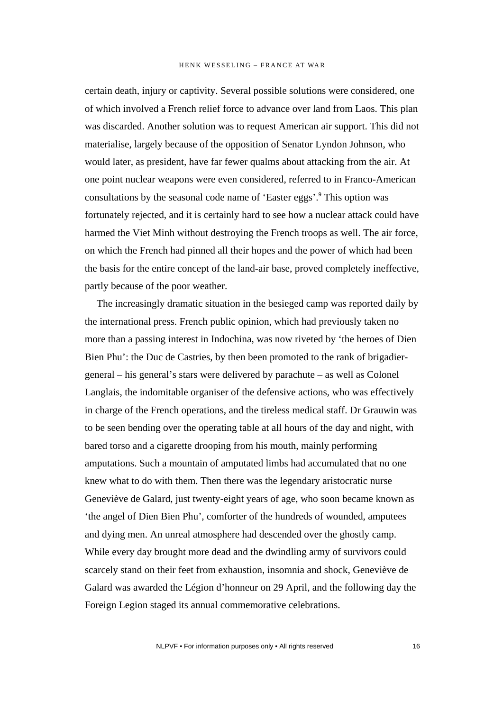certain death, injury or captivity. Several possible solutions were considered, one of which involved a French relief force to advance over land from Laos. This plan was discarded. Another solution was to request American air support. This did not materialise, largely because of the opposition of Senator Lyndon Johnson, who would later, as president, have far fewer qualms about attacking from the air. At one point nuclear weapons were even considered, referred to in Franco-American consultations by the seasonal code name of 'Easter eggs'.<sup>9</sup> This option was fortunately rejected, and it is certainly hard to see how a nuclear attack could have harmed the Viet Minh without destroying the French troops as well. The air force, on which the French had pinned all their hopes and the power of which had been the basis for the entire concept of the land-air base, proved completely ineffective, partly because of the poor weather.

The increasingly dramatic situation in the besieged camp was reported daily by the international press. French public opinion, which had previously taken no more than a passing interest in Indochina, was now riveted by 'the heroes of Dien Bien Phu': the Duc de Castries, by then been promoted to the rank of brigadiergeneral – his general's stars were delivered by parachute – as well as Colonel Langlais, the indomitable organiser of the defensive actions, who was effectively in charge of the French operations, and the tireless medical staff. Dr Grauwin was to be seen bending over the operating table at all hours of the day and night, with bared torso and a cigarette drooping from his mouth, mainly performing amputations. Such a mountain of amputated limbs had accumulated that no one knew what to do with them. Then there was the legendary aristocratic nurse Geneviève de Galard, just twenty-eight years of age, who soon became known as 'the angel of Dien Bien Phu', comforter of the hundreds of wounded, amputees and dying men. An unreal atmosphere had descended over the ghostly camp. While every day brought more dead and the dwindling army of survivors could scarcely stand on their feet from exhaustion, insomnia and shock, Geneviève de Galard was awarded the Légion d'honneur on 29 April, and the following day the Foreign Legion staged its annual commemorative celebrations.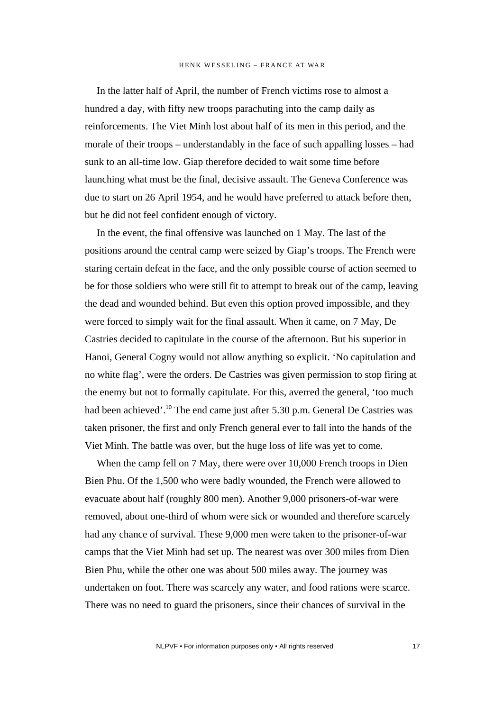In the latter half of April, the number of French victims rose to almost a hundred a day, with fifty new troops parachuting into the camp daily as reinforcements. The Viet Minh lost about half of its men in this period, and the morale of their troops – understandably in the face of such appalling losses – had sunk to an all-time low. Giap therefore decided to wait some time before launching what must be the final, decisive assault. The Geneva Conference was due to start on 26 April 1954, and he would have preferred to attack before then, but he did not feel confident enough of victory.

In the event, the final offensive was launched on 1 May. The last of the positions around the central camp were seized by Giap's troops. The French were staring certain defeat in the face, and the only possible course of action seemed to be for those soldiers who were still fit to attempt to break out of the camp, leaving the dead and wounded behind. But even this option proved impossible, and they were forced to simply wait for the final assault. When it came, on 7 May, De Castries decided to capitulate in the course of the afternoon. But his superior in Hanoi, General Cogny would not allow anything so explicit. 'No capitulation and no white flag', were the orders. De Castries was given permission to stop firing at the enemy but not to formally capitulate. For this, averred the general, 'too much had been achieved'.<sup>10</sup> The end came just after 5.30 p.m. General De Castries was taken prisoner, the first and only French general ever to fall into the hands of the Viet Minh. The battle was over, but the huge loss of life was yet to come.

When the camp fell on 7 May, there were over 10,000 French troops in Dien Bien Phu. Of the 1,500 who were badly wounded, the French were allowed to evacuate about half (roughly 800 men). Another 9,000 prisoners-of-war were removed, about one-third of whom were sick or wounded and therefore scarcely had any chance of survival. These 9,000 men were taken to the prisoner-of-war camps that the Viet Minh had set up. The nearest was over 300 miles from Dien Bien Phu, while the other one was about 500 miles away. The journey was undertaken on foot. There was scarcely any water, and food rations were scarce. There was no need to guard the prisoners, since their chances of survival in the